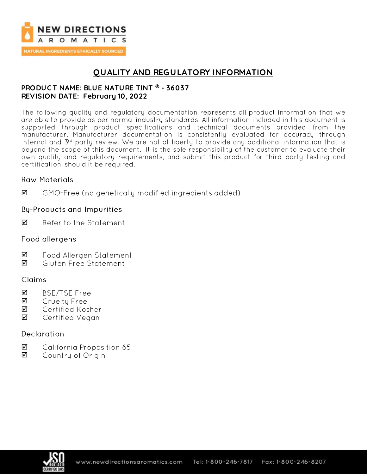

## **QUALITY AND REGULATORY INFORMATION**

### **PRODUC T NAME: BLUE NATURE TINT ® - 36037 REVISION DATE: February 10, 2022**

The following quality and regulatory documentation represents all product information that we are able to provide as per normal industry standards. All information included in this document is supported through product specifications and technical documents provided from the manufacturer. Manufacturer documentation is consistently evaluated for accuracy through internal and 3<sup>rd</sup> party review. We are not at liberty to provide any additional information that is beyond the scope of this document. It is the sole responsibility of the customer to evaluate their own quality and regulatory requirements, and submit this product for third party testing and certification, should it be required.

### **Raw Materials**

 $\triangledown$ GMO-Free (no genetically modified ingredients added)

### **By-Products and Impurities**

☑ Refer to the Statement

### Food allergens

- ☑ Food Allergen Statement
- ☑ Gluten Free Statement

## Claims

- $\triangledown$ **BSE/TSE Free**
- ☑ Cruelty Free
- ☑ Certified Kosher
- ☑ Certified Vegan

## Declaration

- ☑ California Proposition 65
- $\triangledown$ Country of Origin

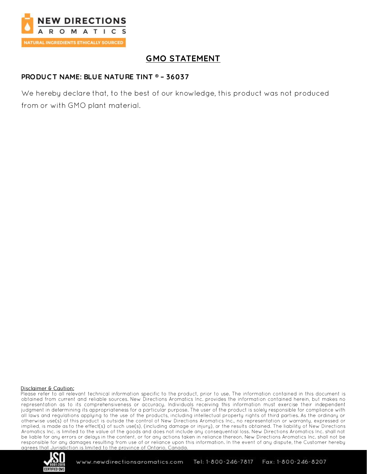

# **GMO STATEMENT**

#### **PRODUCT NAME: BLUE NATURE TINT ® - 36037**

We hereby declare that, to the best of our knowledge, this product was not produced from or with GMO plant material.

#### Disclaimer & Caution:

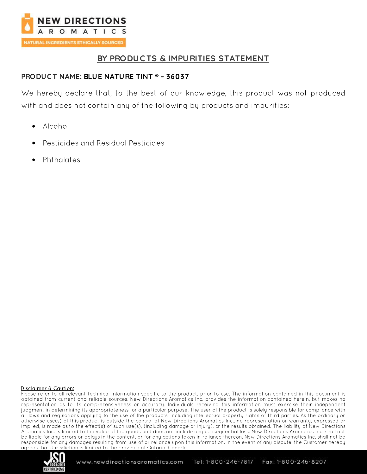

## BY PRODUCTS & IMPURITIES STATEMENT

### **PRODUCT NAME: BLUE NATURE TINT ® - 36037**

We hereby declare that, to the best of our knowledge, this product was not produced with and does not contain any of the following by products and impurities:

- Alcohol  $\bullet$
- **Pesticides and Residual Pesticides**
- Phthalates

#### Disclaimer & Caution:

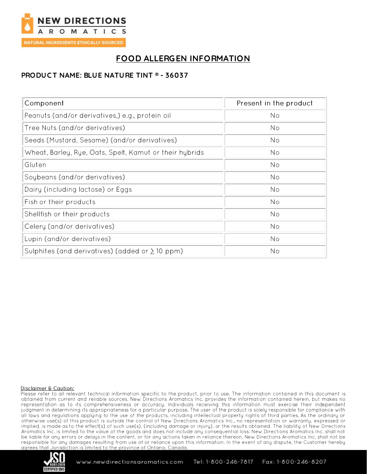

# **FOOD ALLERGEN INFORMATION**

### **PRODUC T NAME: BLUE NATURE TINT ® - 36037**

| Component                                               | Present in the product |
|---------------------------------------------------------|------------------------|
| Peanuts (and/or derivatives,) e.g., protein oil         | No                     |
| Tree Nuts (and/or derivatives)                          | No                     |
| Seeds (Mustard, Sesame) (and/or derivatives)            | No                     |
| Wheat, Barley, Rye, Oats, Spelt, Kamut or their hybrids | No                     |
| Gluten                                                  | No                     |
| Soybeans (and/or derivatives)                           | No                     |
| Dairy (including lactose) or Eggs                       | No                     |
| Fish or their products                                  | No                     |
| Shellfish or their products                             | No                     |
| Celery (and/or derivatives)                             | No                     |
| Lupin (and/or derivatives)                              | No                     |
| Sulphites (and derivatives) (added or $\geq$ 10 ppm)    | No                     |

#### Disclaimer & Caution:

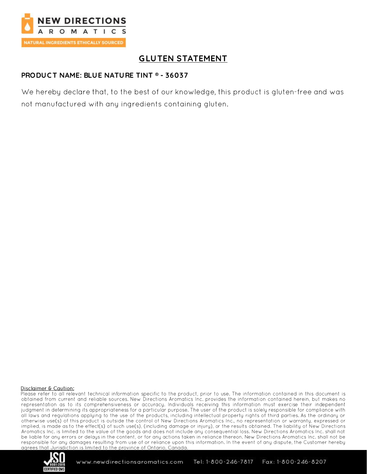

# **GLUTEN STATEMENT**

### **PRODUC T NAME: BLUE NATURE TINT ® - 36037**

We hereby declare that, to the best of our knowledge, this product is gluten-free and was not manufactured with any ingredients containing gluten.

#### Disclaimer & Caution:

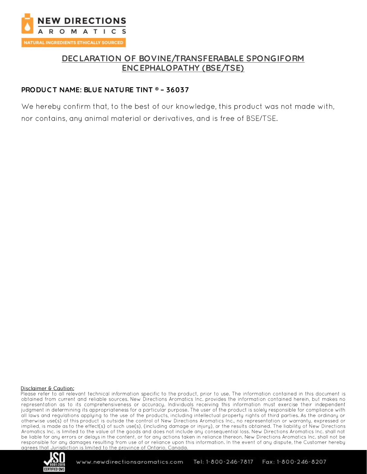

## **DEC LARATION OF BOVINE/TRANSFERABALE SPONGIFORM ENC EPHALOPATHY (BSE/TSE)**

### **PRODUC T NAME: BLUE NATURE TINT ® – 36037**

We hereby confirm that, to the best of our knowledge, this product was not made with, nor contains, any animal material or derivatives, and is free of BSE/TSE.

#### Disclaimer & Caution:

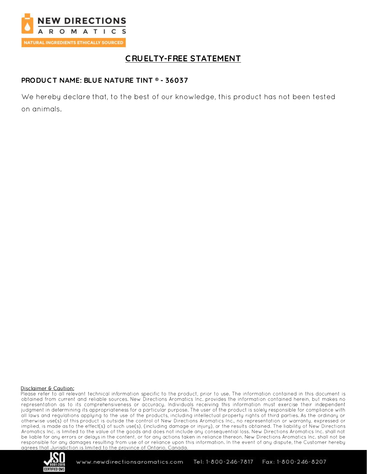

# **C RUELTY-FREE STATEMENT**

## **PRODUC T NAME: BLUE NATURE TINT ® - 36037**

We hereby declare that, to the best of our knowledge, this product has not been tested on animals.

#### Disclaimer & Caution:

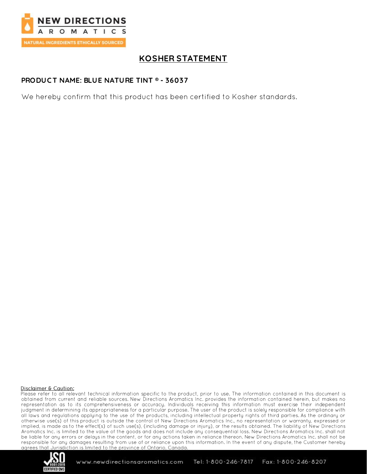

# **KOSHER STATEMENT**

### **PRODUC T NAME: BLUE NATURE TINT ® - 36037**

We hereby confirm that this product has been certified to Kosher standards.

#### Disclaimer & Caution:

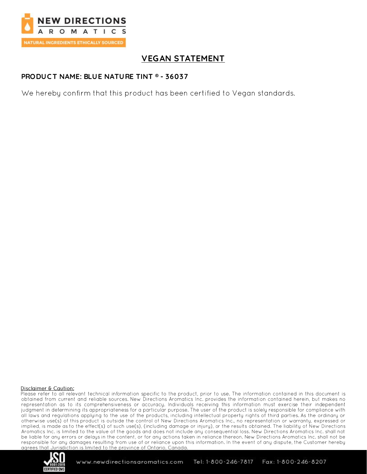

# **VEGAN STATEMENT**

#### **PRODUC T NAME: BLUE NATURE TINT ® - 36037**

We hereby confirm that this product has been certified to Vegan standards.

#### Disclaimer & Caution:

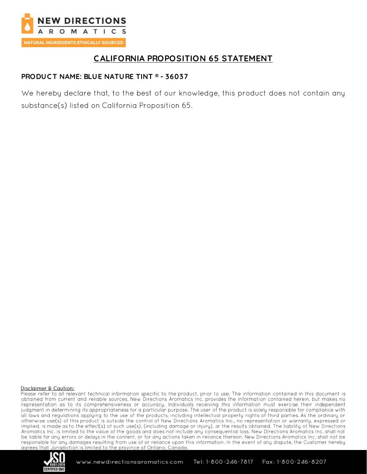

## **C ALIFORNIA PROPOSITION 65 STATEMENT**

### **PRODUC T NAME: BLUE NATURE TINT ® - 36037**

We hereby declare that, to the best of our knowledge, this product does not contain any substance(s) listed on California Proposition 65.

#### Disclaimer & Caution: